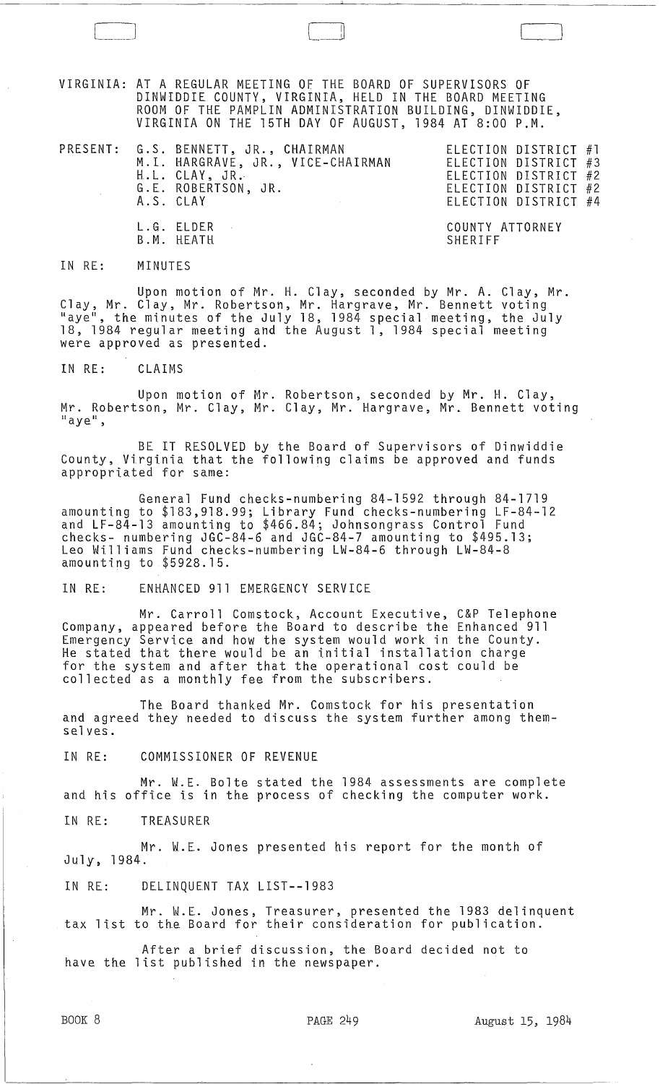VIRGINIA: AT A REGULAR MEETING OF THE BOARD OF SUPERVISORS OF DINWIDDIE COUNTY, VIRGINIA, HELD IN THE BOARD MEETING ROOM OF THE PAMPLIN ADMINISTRATION BUILDING, DINWIDDIE, VIRGINIA ON THE 15TH DAY OF AUGUST, 1984 AT 8:00 P.M.

 $\Box$ 

PRESENT: G.S. BENNETT, JR., CHAIRMAN ELECTION DISTRICT #1 M.I. HARGRAVE, JR., VICE-CHAIRMAN ELECTION DISTRICT #3 H.L. CLAY, JR.· ELECTION DISTRICT #2 G.L ROBERTSON, JR. ELECTION DISTRICT #2 A.S. CLAY ELECTION DISTRICT #4 L.G. ELDER  $\sim 10^7$ COUNTY ATTORNEY B.M. HEATH SHERIFF

IN RE: MINUTES

Upon motion of Mr. H. Clay, seconded by Mr. A. Clay, Mr. Clay, Mr. Clay, Mr. Robertson, Mr. Hargrave, Mr. Bennett voting "aye", the minutes of the July 18, 1984 special meeting, the July<br>18, 1984 regular meeting and the August 1, 1984 special meeting were approved as presented.

IN RE: CLAIMS

Upon motion of Mr. Robertson, seconded by Mr. H. Clay, Mr. Robertson, Mr. Clay, Mr. Clay, Mr. Hargrave, Mr. Bennett voting<br>"aye",

BE IT RESOLVED by the Board of Supervisors of Dinwiddie County, Virginia that the following claims be approved and funds appropriated for same:

General Fund checks-numbering 84-1592 through 84-1719 amounting to \$183,918.99; Library Fund checks-numbering LF-84-12 and LF-84-13 amounting to \$466.84; Johnsongrass Control Fund checks- numbering JGC-84-6 and JGC-84-7 amounting to \$495.13; Leo Williams Fund checks-numbering LW-84-6 through LW-84-8 amounting to \$5928.15.

IN RE: ENHANCED 911 EMERGENCY SERVICE

Mr. Carroll Comstock, Account Executive, C&P Telephone Company, appeared before the Board to describe the Enhanced 911 Emergency Service and how the system would work in the County. He stated that there would be an initial installation charge for the system and after that the operational cost could be collected as a monthly fee from the subscribers.

The Board thanked Mr. Comstock for his presentation and agreed they needed to discuss the system further among themselves.

IN RE: COMMISSIONER OF REVENUE

Mr. W.E. Bolte stated the 1984 assessments are complete and his office is in the process of checking the computer work.

IN RE: TREASURER

Mr. W.E. Jones presented his report for the month of July, 1984.

IN RE: DELINQUENT TAX LIST--1983

Mr. W.E. Jones, Treasurer, presented the 1983 delinquent tax list to the Board for their consideration for publication.

After a brief discussion, the Board decided not to have the list published in the newspaper.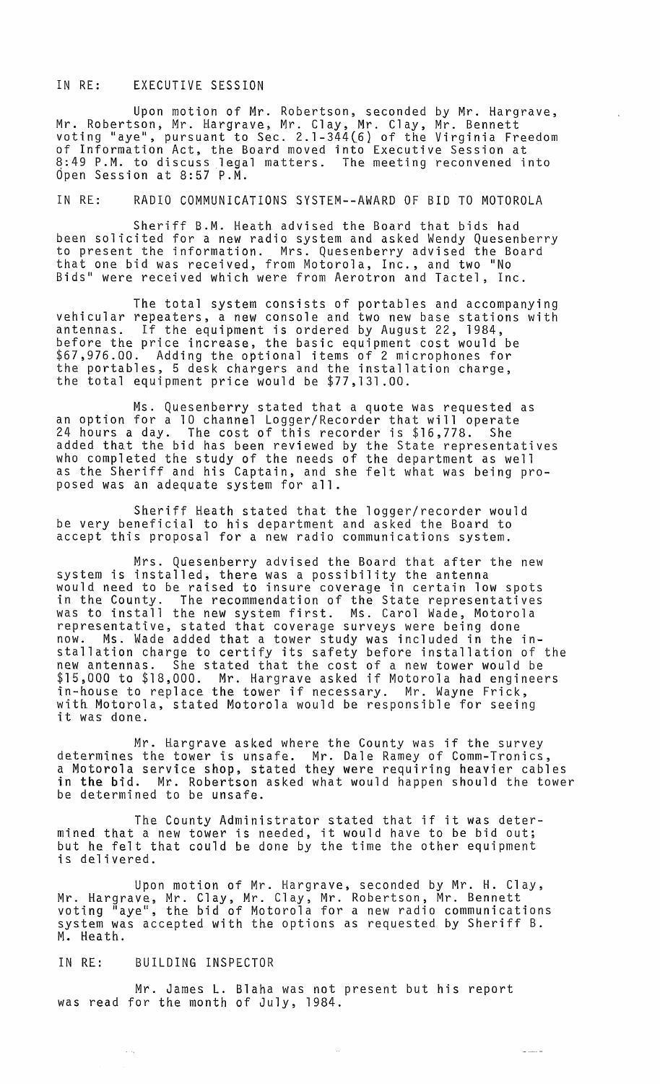## IN RE: EXECUTIVE SESSION

Upon motion of Mr. Robertson, seconded by Mr. Hargrave, Mr. Robertson, Mr. Hargrave, Mr. Clay, Mr. Clay, Mr. Bennett voting "aye", pursuant to Sec. 2.1-344(6} of the Virginia Freedom of Information Act, the Board moved into Executive Session at 8:49 P.M. to discuss legal matters. The meeting reconvened into  $0$ pen Session at 8:57 P.M.

IN RE: RADIO COMMUNICATIONS SYSTEM--AWARD OF BID TO MOTOROLA

Sheriff B.M. Heath advised the Board that bids had been solicited for a new radio system and asked Wendy Quesenberry to present the information. Mrs. Quesenberry advised the Board that one bid was received, from Motorola, Inc., and two "No Bids" were received which were from Aerotron and Tactel, Inc.

The total system consists of portables and accompanying vehicular repeaters, a new console and two new base stations with antennas. If the equipment is ordered by August 22, 1984, before the price increase, the basic equipment cost would be \$67,976.00. Adding the optional items of 2 microphones for the portables, 5 desk chargers and the installation charge, the total equipment price would be \$77,131.00.

Ms. Quesenberry stated that a quote was requested as an option for a 10 channel Logger/Recorder that will operate 24 hours a day. The cost of this recorder is \$16,778. She added that the bid has been reviewed by the State representatives who completed the study of the needs of the department as well as the Sheriff and his Captain, and she felt what was being proposed was an adequate system for all.

Sheriff Heath stated that the logger/recorder would be very beneficial to his department and asked the Board to accept this proposal for a new radio communications system.

Mrs. Quesenberry advised the Board that after the new system is installed, there was a possibility the antenna would need to be raised to insure coverage in certain low spots in the County. The recommendation of the State representatives was to install the new system first. Ms. Carol Wade, Motorola representative, stated that coverage surveys were being done now. Ms. Wade added that a tower study was included in the installation charge to certify its safety before installation of the new antennas. She stated that the cost of a new tower would be \$15,000 to \$18,000. Mr. Hargrave asked if Motorola had engineers in-house to replace the tower if necessary. Mr. Wayne Frick, with Motorola, stated Motorola would be responsible for seeing it was done.

Mr. Hargrave asked where the County was if the survey determines the tower is unsafe. Mr. Dale Ramey of Comm-Tronics, a Motorola service shop, stated they were requiring heavier cables in the bid. Mr. Robertson asked what would happen should the tower be determined to be unsafe.

The County Administrator stated that if it was determined that a new tower is needed, it would have to be bid out; but he felt that could be done by the time the other equipment is delivered.

Upon motton of Mr. Hargrave, seconded by Mr. H. Clay, Mr. Hargrave, Mr. Clay, Mr. Clay, Mr. Robertson, Mr. Bennett voting "aye", the bid of Motorola for a new radio communications system was accepted with the options as requested by Sheriff B. M. Heath.

#### IN RE: BUILDING INSPECTOR

Mr. James L. Blaha was not present but his report was read for the month of July, 1984.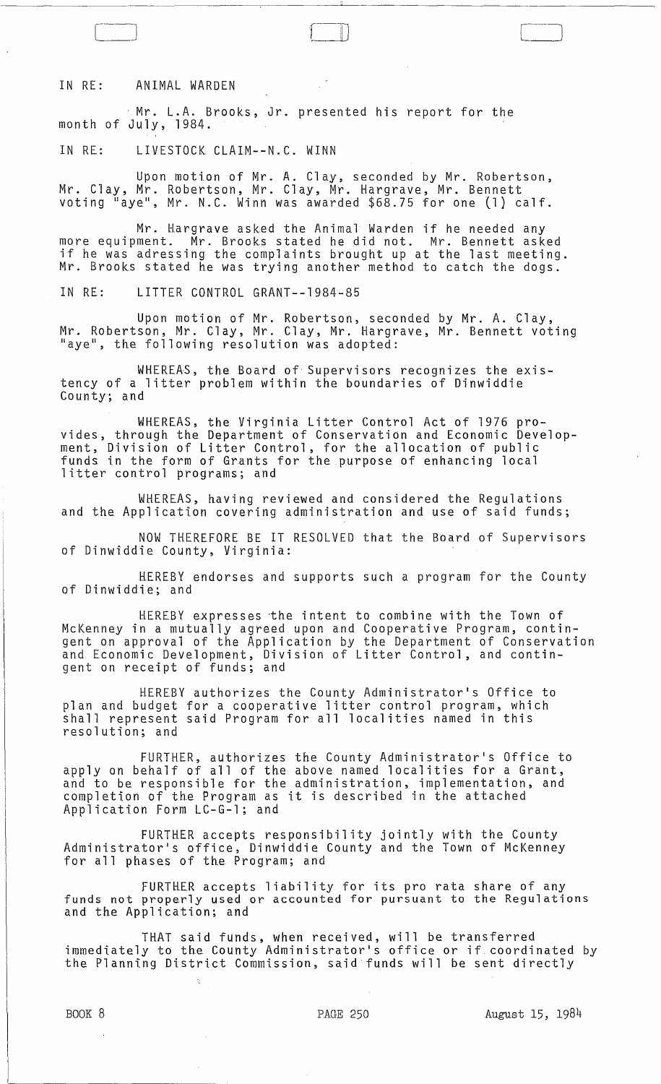#### IN RE: ANIMAL WARDEN

Mr. L.A. Brooks, Jr. presented his report for the month of July, 1984.

IN RE: LIVESTOCK CLAIM--N.C. WINN

l-] ill

Upon motion of Mr. A. C1 ay, seconded by Mr. Robertson, Mr. Clay, Mr. Robertson, Mr. Clay, Mr. Hargrave, Mr. Bennett voting "aye", Mr. N.C. Winn was awarded \$68.75 for one (1) calf.

Mr. Hargrave asked the Animal Warden if he needed any more equipment. Mr. Brooks stated he did not. Mr. Bennett asked if he was adressing the complaints brought up at the last meeting. Mr. Brooks stated he was trying another method to catch the dogs.

IN RE: LITTER CONTROL GRANT--1984-85

Upon motion of Mr. Robertson, seconded by Mr. A. Clay, Mr. Robertson, Mr. Clay, Mr. Clay, Mr. Hargrave, Mr. Bennett voting "aye", the following resolution was adopted:

WHEREAS, the Board of Supervisors recognizes the existency of a litter problem within the boundaries of Dinwiddie County; and

WHEREAS, the Virginia Litter Control Act of 1976 provides, through the Department of Conservation and Economic Development, Division of Litter Control, for the allocation of public funds in the form of Grants for the purpose of enhancing local litter control programs; and

WHEREAS, having reviewed and considered the Regulations and the Application covering administration and use of said funds;

NOW THEREFORE BE IT RESOLVED that the Board of Supervisors of Dinwiddie County, Virginia:

HEREBY endorses and supports such a program for the County of Dinwiddie; and

HEREBY expresses the intent to combine with the Town of McKenney in a mutually agreed upon and Cooperative Program, contingent on approval of the Application by the Department of Conservation and Economic Development, Division of Litter Control, and contingent on receipt of funds; and

HEREBY authorizes the County Administrator's Office to plan and budget for a cooperative litter control program, which shall represent said Program for all localities named in this resolution; and

FURTHER, authorizes the County Administrator's Office to apply on behalf of all of the above named localities for a Grant, and to be responsible for the administration, implementation, and completion of the Program as it is described in the attached Application Form LC-G-l; and

FURTHER accepts responsibility jointly with the County Administrator's office, Dinwiddie County and the Town of McKenney for all phases of the Program; and

FURTHER accepts liability for its pro rata share of any funds not properly used or accounted for pursuant to the Regulations and the Application; and

THAT said funds, when received, will be transferred immediately to the County Administrator's office or if coordinated by the Planning District Commission, said funds will be sent directly

]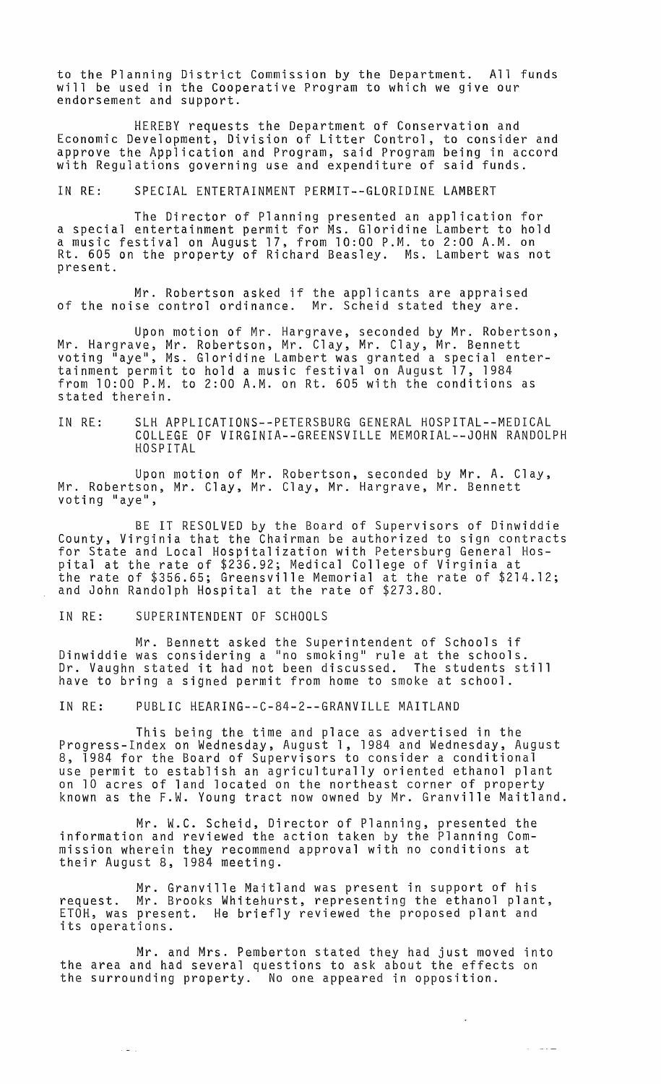to the Planning District Commission by the Department. All funds will be used in the Cooperative Program to which we give our endorsement and support.

HEREBY requests the Department of Conservation and Economic Development, Division of Litter Control, to consider and approve the Application and Program, said Program being in accord with Regulations governing use and expenditure of said funds.

IN RE: SPECIAL ENTERTAINMENT PERMIT--GLORIDINE LAMBERT

The Director of Planning presented an application for a special entertainment permit for Ms. Gloridine Lambert to hold a music festival on August 17, from 10:00 P.M. to 2:00 A.M. on Rt. 605 on the property of Richard Beasley. Ms. Lambert was not present.

Mr. Robertson asked if the applicants are appraised of the noise control ordinance. Mr. Scheid stated they are.

Upon motion of Mr. Hargrave, seconded by Mr. Robertson, Mr. Hargrave, Mr. Robertson, Mr. Clay, Mr. Clay, Mr. Bennett voting "aye", Ms. Gloridine Lambert was granted a special entertainment permit to hold a music festival on August 17, 1984 from 10:00 P.M. to 2:00 A.M. on Rt. 605 with the conditions as stated therein.

IN RE: SLH APPLICATIONS--PETERSBURG GENERAL HOSPITAL--MEDICAL COLLEGE OF VIRGINIA--GREENSVILLE MEMORIAL--JOHN RANDOLPH HOSPITAL

Upon motion of Mr. Robertson, seconded by Mr. A. Clay, Mr. Robertson, Mr. Clay, Mr. Clay, Mr. Hargrave, Mr. Bennett voting "aye",

BE IT RESOLVED by the Board of Supervisors of Dinwiddie County, Virginia that the Chairman be authorized to sign contracts for State and Local Hospitalization with Petersburg General Hospital at the rate of \$236.92; Medical College of Virginia at the rate of \$356.65; Greensville Memorial at the rate of \$214.12; and John Randolph Hospital at the rate of \$273.80.

IN RE: SUPERINTENDENT OF SCHOOLS

 $\sim$   $\omega$   $\sim$ 

Mr. Bennett asked the Superintendent of Schools if Dinwiddie was considering a "no smoking" rule at the schools. Dr. Vaughn stated it had not been discussed. The students still have to bring a signed permit from home to smoke at school.

IN RE: PUBLIC HEARING--C-84-2--GRANVILLE MAITLAND

This being the time and place as advertised in the Progress-Index on Wednesday, August 1, 1984 and Wednesday, August 8, 1984 for the Board of Supervisors to consider a conditional use permit to establish an agriculturally oriented ethanol plant on 10 acres of land located on the northeast corner of property known as the F.W. Young tract now owned by Mr. Granville Maitland.

Mr. W.C. Scheid, Director of Planning, presented the information and reviewed the action taken by the Planning Commission wherein they recommend approval with no conditions at their August 8, 1984 meeting.

Mr. Granville Maitland was present in support of his request. Mr. Brooks Whitehurst, representing the ethanol plant, ETOH, was present. He briefly reviewed the proposed plant and its operations.

Mr. and Mrs. Pemberton stated they had just moved into the area and had several questions to ask about the effects on the surrounding pr0perty. No one appeared in opposition.

 $\mathbb{Z}^2$ 

ساعت الله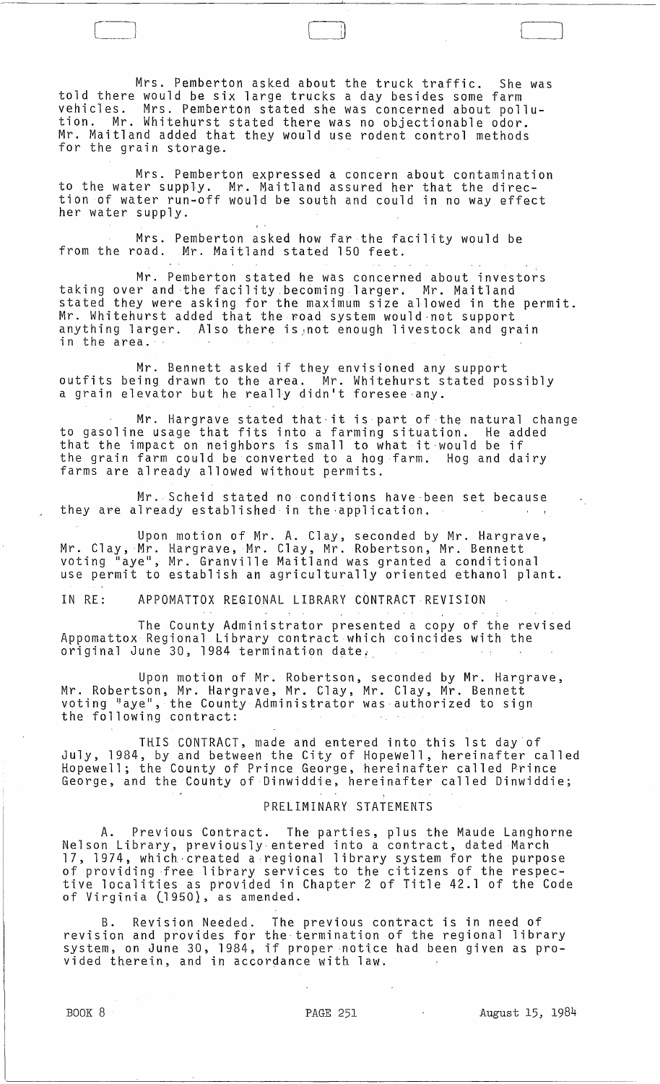Mrs. Pemberton asked about the truck traffic. She was told there would be six large trucks a day besides some farm vehicles. Mrs. Pemberton stated she was concerned about pollution. Mr. Whitehurst stated there was no objectionable odor. Mr. Maitland added that they would use rodent control methods for the grain storage.

 $\boxed{\phantom{1}}$ 

Mrs. Pemberton expressed a concern about contamination to the water supply. Mr. Maitland assured her that the direction of water run-off would be south and could in no way effect her water supply.

Mrs. Pemberton asked how far the facility would be from the road. Mr. Maitland stated 150 feet.

Mr. Pemberton stated he was concerned about investors taking over and the facility becoming larger. Mr. Maitland stated they were. asking for the maximum size allowed in the permit. Mr. Whitehurst added that the road system would-not support anything larger. Also there is not enough livestock and grain in the area.

Mr. Bennett asked if they envisioned any support outfits being drawn to the area. Mr. Whitehurst stated possibly a grain elevator but he really didn't foresee-any.

Mr. Hargrave stated that-it is part of the natural change to gasoline usage that fits into a farming situation. He added that the impact on neighbors is small to what it-would be if the grain farm could be converted to a hog farm. Hog and dairy farms are already allowed without permits.

Mr. Scheid stated no conditions have-been set because they are already established in the-application.

Upon motion of Mr. A. Clay, seconded by Mr. Hargrave, Mr. Clay,Mr. Hargrave, Mr. Clay, Mr. Robertson, Mr. Bennett voting "aye", Mr. Granville Maitland was granted a conditional use permit to establish an agriculturally oriented ethanol plant.

IN RE: APPOMATTOX REGIONAL LIBRARY CONTRACT REVISION

The County Administrator presented a copy of the revised Appomattox Regional Library contract which coincides with the original June 30, 1984 termination date.

Upon motion of Mr. Robertson, seconded by Mr. Hargrave, Mr. Robertson, Mr. Hargrave, Mr. Clay, Mr. Clay, Mr. Bennett voting "aye", the County Administrator was authorized to sign the following contract:

THIS CONTRACT, made and entered into this 1st day of July, 1984, by and between the City of Hopewell, hereinafter called Hopewell; the County of Prince George, hereinafter called Prince George, and the County of Dinwiddie, hereinafter called Dinwiddie;

# PRELIMINARY STATEMENTS

A. Previous Contract. The parties, plus the Maude Langhorne Nelson Library, previously entered into a contract, dated March 17, 1974, which-created a,regional library system for the purpose of providing free library services to the citizens of the respective localities as provided in Chapter 2 of Title 42.1 of the Code of Virginia (1950}, as amended.

B. Revision Needed. The previous contract is in need of revision and provides for the termination of the regional library system, on June 30, 1984, if proper notice had been given as pro- vided therein, and in accordance with law.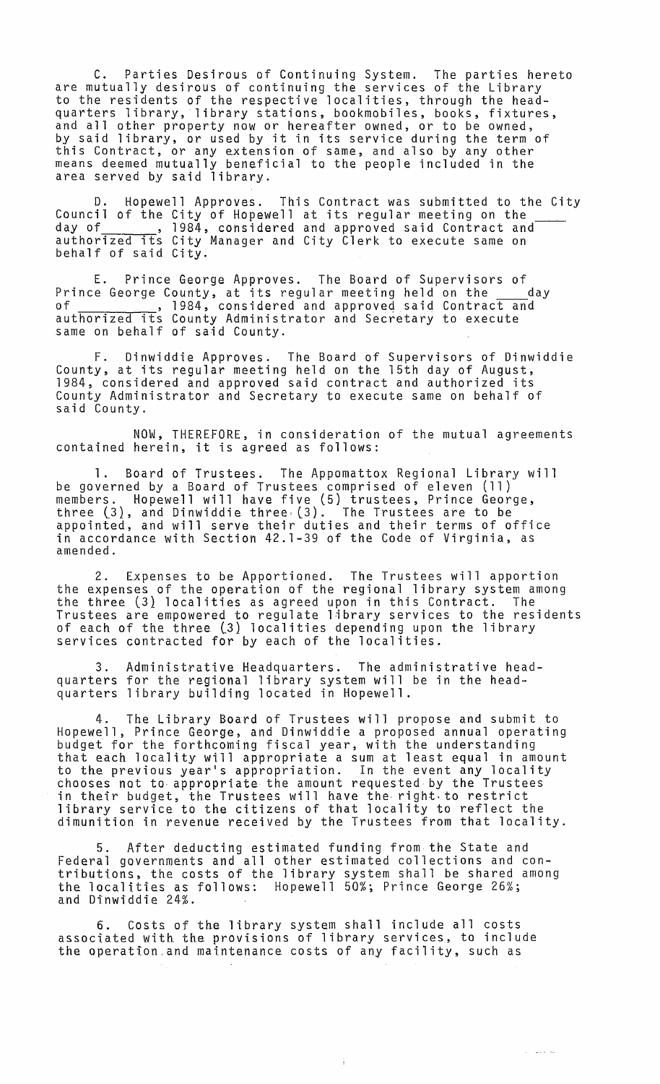C. Parties Desirous of Continuing System. The parties hereto are mutually desirous of continuing the services of the Library to the residents of the respective localities, through the headquarters library, library stations, bookmobiles, books, fixtures, and all other property now or hereafter owned, or to be owned, and all other property how or herearter owned, or to be owned, this Contract, or any extension of same, and also by any other means deemed mutually beneficial to the people included in the area served by said library.

Hopewell Approves. This Contract was submitted to the City Council of the City of Hopewell at its regular meeting on the day of \_\_\_\_\_\_\_, 1984, considered and approved said Contract and authorized its City Manager and City Clerk to execute same on behalf of said City.

E. Prince George Approves. The Board of Supervisors of<br>e George County, at its regular meeting held on the day Prince George County, at its regular meeting held on the of , 1984, considered and approveq said Contrac~d authorized its County Administrator and Secretary to execute same on behalf of said County.

F. Dinwiddie Approves. The Board of Supervisors of Dinwiddie County, at its regular meeting held on the 15th day of August, 1984, considered and approved said contract and authorized its County Administrator and Secretary to execute same on behalf of said County.

NOW, THEREFORE, in consideration of the mutual agreements contained herein, it is agreed as follows:

1. Board of Trustees. The Appomattox Regional Library will be governed by a Board of Trustees comprised of eleven (11) members. Hopewell will have five (5) trustees, Prince George, three (3), and Dinwiddie three, (3). The Trustees are to be appointed, and will serve their duties and their terms of office in accordance with Section 42.1-39 of the Code of Virginia, as amended.

2. Expenses to be Apportioned. The Trustees will apportion the expenses of the operation of the regional library system among the three (3} localities as agreed upon in this Contract. The Trustees are empowered to regulate library services to the residents of each of the three (3) localities depending upon the library services contracted for by each of the localities.

3. Administrative Headquarters. The administrative headquarters for the regional library system will be in the headquarters library building located in Hopewell.

The Library Board of Trustees will propose and submit to Hopewell, Prince George, and Dinwiddie a proposed annual operating budget for the forthcoming fiscal year, with the understanding<br>that each locality will appropriate a sum at least equal in amount to the previous yearls appropriation. In the event any locality chooses not to· appropriate the amount requested by the Trustees in their budget, the Trustees will have the· right.to restrict library service to the citizens of that locality to reflect the dimunition in revenue received by the Trustees from that locality.

5. After deducting estimated funding from the State and Federal governments and all other estimated collections and contributions, the costs of the library system shall be shared among the localities as follows: Hopewell 50%; Prince George 26%; and Dinwiddie 24%.

6. Costs of the library system shall include all costs associated with the provisions of library services, to include the operation. and maintenance costs of any facility, such as

 $\omega = \omega \omega \omega / \omega$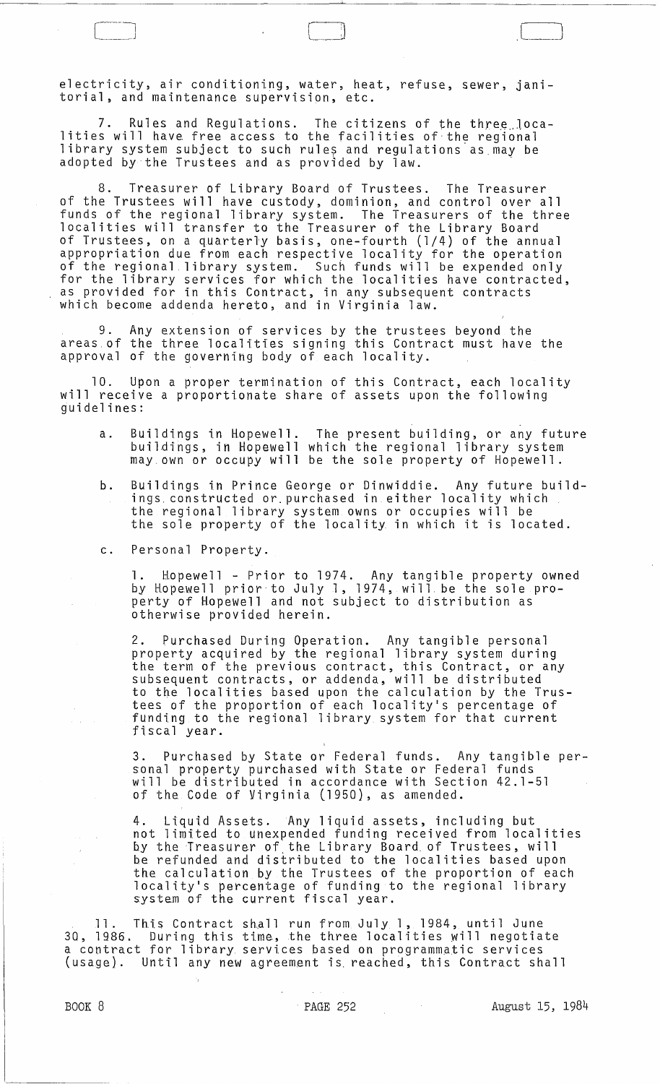electricity, air conditioning, water, heat, refuse, sewer, janitorial, and maintenance supervision, etc.

7. Rules and Regulations. The citizens of the three localities will have free access to the facilities of the regional library system subject to such rules and regulations as may be adopted by the Trustees and as provided by law.

8. Treasurer of Library Board of Trustees. The Treasurer of the Trustees will have custody, dominion, and control over all funds of the regional library system. The Treasurers of the three localities will transfer to the Treasurer of the Library Board of Trustees, on a quarterly basis, one-fourth (1/4) of the annual appropriation due from each respective locality for the operation of the regional library system. Such funds will be expended only<br>for the library services for which the localities have contracted, as provided for in this Contract, in any subsequent contracts which become addenda hereto, and in Virginia law.

9. Any extension of services by the trustees beyond the areas of the three localities signing this Contract must have the approval of the governing body of each locality.

10. Upon a proper termination of this Contract, each locality will receive a proportionate share of assets upon the following<br>guidelines:

- a. Buildings in Hopewell. The present building, or any future buildings, in Hopewell which the regional library system may own or occupy will be the sole property of Hopewell.
- b. Buildings in Prince George or Dinwiddie. Any future buildings. constructed or.purchased in either locality which the regional library system owns or occupies will be the regional fibrary system owns or occupies with be<br>the sole property of the locality in which it is located.
- c. Personal Property.

1. Hopewell - Prior to 1974. Any tangible property owned by Hopewell prior to July 1, 1974, will. be the sole property of Hopewell and not subject to distribution as otherwise provided herein.

2. Purchased During Operation. Any tangible personal property acquired by the regional library system during the term of the previous contract, this Contract, or any subsequent contracts, or addenda, will be distributed to the localities based upon the calculation by the Trustees of the proportion of each locality's percentage of funding to the regional library system for that current fiscal year.

3. Purchased by State or Federal funds. Any tangible personal property purchased with State or Federal funds will be distributed in accordance with Section 42.1-51 of the Code of Virginia (1950), as amended.

4. Liquid Assets. Any liquid assets, including but not limited to unexpended funding received from localities by the Treasurer of the Library Board. of Trustees, will be refunded and disiributed to the localities based upon the calculation by the Trustees of the proportion of each locality's percentage of funding to the regional library system of the current fiscal year.

11. This Contract shall run from July 1, 1984, until June 30, 1986. During this time, the three localities Will negotiate a contract for library services based on programmatic services (usage). Until any new agreement is. reached, this Contract shall

 $\lfloor \ \ \rfloor$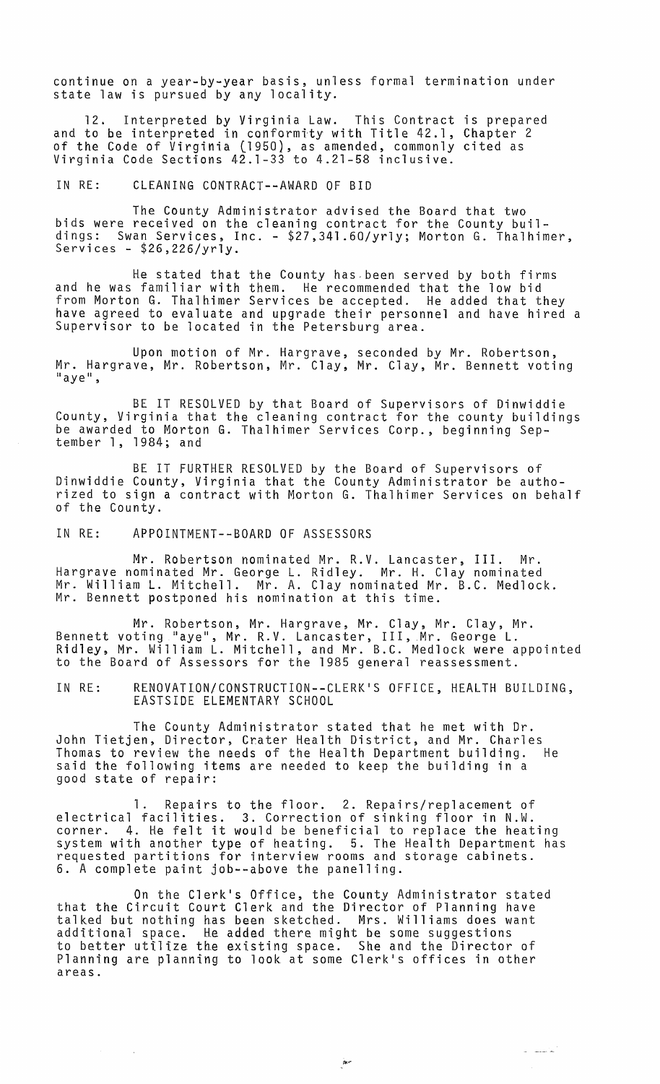continue on a year-by-year basis, unless formal termination under state law is pursued by any locality.

12. Interpreted by Virginia Law. This Contract is prepared and to be interpreted in conformity with Title 42.1, Chapter 2 of the Code of Virginia (1950), as amended, commonly cited as Virginia Code Sections  $42.1-33$  to  $4.21-58$  inclusive.

IN RE: CLEANING CONTRACT--AWARD OF BID

The County Administrator advised the Board that two bids were received on the cleaning contract for the County buildings: Swan Services, Inc. - \$27,341.60/yrly; Morton G. Thalhimer, Services - \$26,226/yrly.

He stated that the County has-been served by both firms and he was familiar with them. He recommended that the low bid from Morton G. Thalhimer Services be accepted. He added that they have agreed to evaluate and upgrade their personnel and have hired a Supervisor to be located in the Petersburg area.

Upon motion of Mr. Hargrave, seconded by Mr. Robertson, Mr. Hargrave, Mr. Robertson, Mr. Clay, Mr. Clay, Mr. Bennett voting<br>"aye",

BE IT RESOLVED by that Board of Supervisors of Dinwiddie County, Virginia that the cleaning contract for the county buildings be awarded to Morton G. Thalhimer Services Corp., beginning Sep-<br>tember 1, 1984; and

BE IT FURTHER RESOLVED by the Board of Supervisors of Dinwiddie County, Virginia that the County Administrator be authorized to sign a contract with Morton G. Thalhimer Services on behalf of the County.

IN RE: APPOINTMENT--BOARD OF ASSESSORS

Mr. Robertson nominated Mr. R.V. Lancaster, III. Mr. Hargrave nominated Mr. George L. Ridley. Mr. H. Clay nominated Mr. William L. Mitchell. Mr. A. Clay nominated Mr. B.C. Medlock. Mr. Bennett postponed his nomination at this time.

Mr. Robertson, Mr. Hargrave, Mr. Clay, Mr. Clay, Mr. Bennett voting "aye", Mr. R.V. Lancaster, III, Mr. George L. Bennett Volling aye , Mr. K.V. Lancaster, III, Mr. George L.<br>Ridley, Mr. William L. Mitchell, and Mr. B.C. Medlock were appointed to the Board of Assessors for the 1985 general reassessment.

IN RE: RENOVATION/CONSTRUCTION--CLERK'S OFFICE, HEALTH BUILDING, EASTSIDE ELEMENTARY SCHOOL

The County Administrator stated that he met with Dr. John Tietjen, Director, Crater Health District, and Mr. Charles Thomas to review the needs of the Health Department building. said the following items are needed to keep the building in a good state of repair:

Repairs to the floor. 2. Repairs/replacement of electrical facilities. 3. Correction of sinking floor in N.W. erectrical lacificies. S. Correction of sinking floor in N.W.<br>corner. 4. He felt it would be beneficial to replace the heating system with another type of heating. 5. The Health Department has requested partitions for interview rooms and storage cabinets. 6. A complete paint job--above the panelling.

On the Clerk's Office, the County Administrator stated that the Circuit Court Clerk and the Director of Planning have talked but nothing has been sketched. Mrs. Williams does want additional space. He added there might be some suggestions to better utilize the existing space. She and the Director of Planning are planning to look at some Clerk1s offices in other areas.

~~

 $\omega = \frac{1}{2\pi\epsilon}$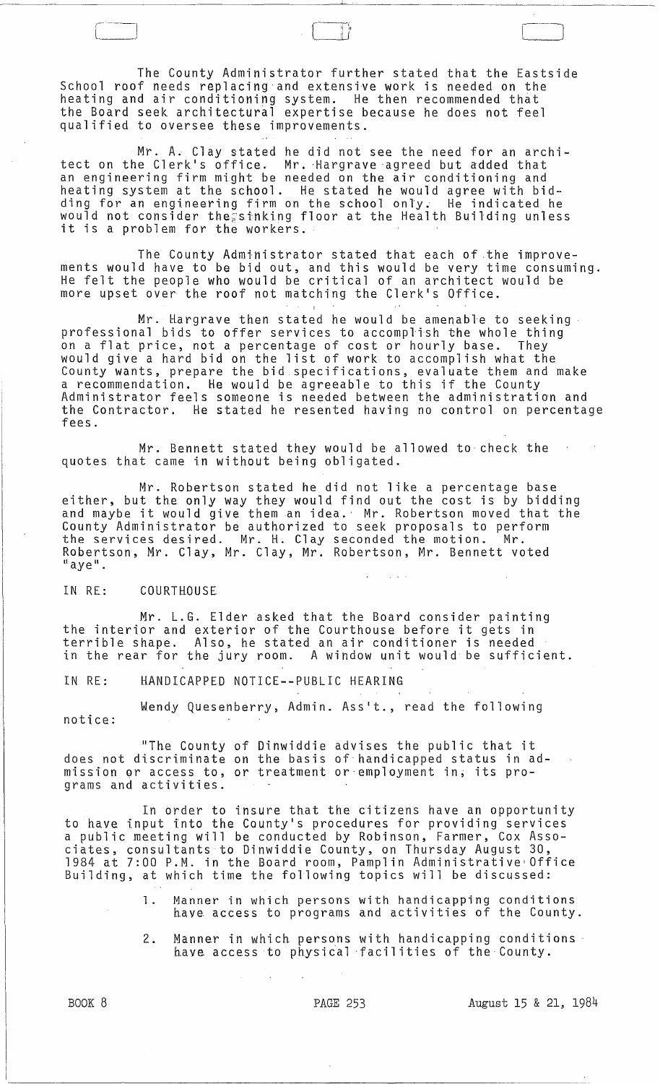The County Administrator further stated that the Eastside School roof needs replacing and extensive work is needed on the heating and air conditioning system. He then recommended that the Board seek architectural expertise because he does not feel qualified to oversee these improvements.

 $\Box$ 

Mr. A. Clay stated he did not see the need for an architect on the Clerk's office. Mr. Hargrave agreed but added that an engineering firm might be needed on the air conditioning and heating system at the school. He stated he would agree with bidding for an engineering firm on the school only; He indicated he would not consider the;stnking floor at the Health Building unless it is a problem for the workers.

The County Administrator stated that each of the improvements would have to be bid out, and this would be very time consuming. He felt the people who would be critical of an architect would be more upset over the roof not matching the Clerk's Office.

Mr. Hargrave then stated he would be amenable to seeking professional bids to offer services to accomplish the whole thing on a flat price, not a percentage of cost or hourly base. They would give a hard bid on the list of work to accomplish what the County wants, prepare the bid specifications, evaluate them and make a recommendation. He would be agreeable to this if the County Administrator feels someone is needed between the administration and the Contractor. He stated he resented having no control on percentage fees.

Mr. Bennett stated they would be allowed to· check the quotes that came in without being obligated.

Mr. Robertson stated he did not like a percentage base either, but the only way they would find out the cost is by bidding and maybe it would give them an idea.' Mr. Robertson moved that the County Administrator be authorized to seek proposals to perform<br>the services desired. Mr. H. Clay seconded the motion. Mr. Robertson, Mr. Clay, Mr. Clay, Mr. Robertson, Mr. Bennett voted  $"$ aye".

### IN RE: COURTHOUSE

Mr. L.G. Elder asked that the Board consider painting the interior and exterior of the Courthouse before it gets in terrible shape. Also, he stated an air conditioner is needed in the rear for the jury room. A window unit would be sufficient.

IN RE: HANDICAPPED NOTICE--PUBLIC HEARING

Wendy Quesenberry, Admin. Ass't., read the following notice:

"The County of Dinwiddie advises the public that it does not discriminate on the basis of handicapped status in adaccs not also kminate on the basis of handreapped seates in c grams and activities.

In order to insure that the citizens have an opportunity to have input into the County's procedures for providing services a public meeting will be conducted by Robinson, Farmer, Cox Associates, consultants to Dinwiddie County, on Thursday August 30, 1984 at 7:00 P.M. in the Board room, Pamplin Administrative'Office Building, at which time the following topics will be discussed:

- 1. Manner in which persons with handicapping conditions have access to programs and activities of the County.
- 2. Manner in which persons with handicapping conditions have access to physical facilities of the County.

PAGE 253 August 15 & 21, 1984

BOOK 8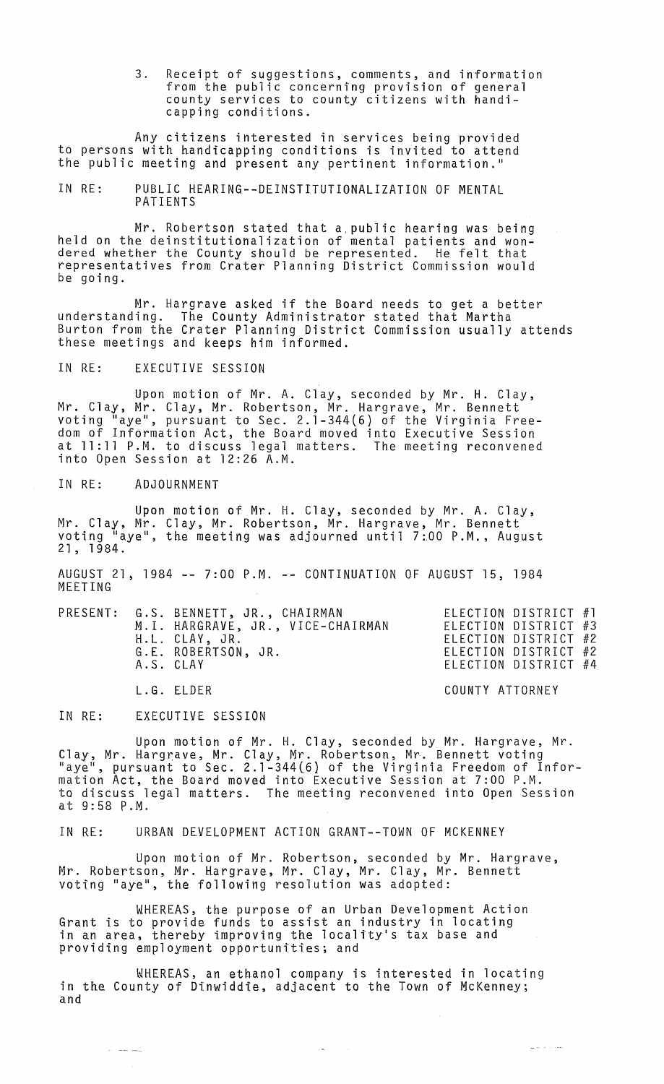3. Receipt of suggestions, comments, and information from the public concerning provision of general county services to county citizens with handicapping conditions.

Any citizens interested in services being provided to persons with handicapping conditions is invited to attend the public meeting and present any pertinent information.'

IN RE: PUBLIC HEARING--DEINSTITUTIONALIZATION OF MENTAL PATIENTS

Mr. Robertson stated that a,public hearing was being held on the deinstitutionalization of mental patients and wondered whether the County should be represented. He felt that representatives from Crater Planning District Commission would be going.

Mr. Hargrave asked if the Board needs to get a better understanding. The County Administrator stated that Martha Burton from the Crater Planning District Commission usually attends these meetings and keeps him informed.

IN RE: EXECUTIVE SESSION

Upon motion of Mr. A. Clay, seconded by Mr. H. Clay, Mr. Clay, Mr. Clay, Mr. Robertson, Mr. Hargrave, Mr. Bennett voting "aye", pursuant to Sec. 2.1-344(6) of the Virginia Freedom of Information Act, the Board moved into Executive Session at 11:11 P.M. to discuss legal matters. The meeting reconvened into Open Session at 12:26 A.M.

IN RE: ADJOURNMENT

Upon motion of Mr. H. Clay, seconded by Mr. A. Clay, Mr. Clay, Mr. Clay, Mr. Robertson, Mr. Hargrave, Mr. Bennett voting "aye", the meeting was adjourned until 7:00 P.M., August<br>21, 1984.

AUGUST 21, 1984 -- 7:00 P.M. -- CONTINUATION OF AUGUST 15, 1984 MEETING

| A.S. CLAY | PRESENT: G.S. BENNETT, JR., CHAIRMAN<br>M.I. HARGRAVE, JR., VICE-CHAIRMAN<br>H.L. CLAY, JR.<br>G.E. ROBERTSON, JR. | ELECTION DISTRICT #1<br>ELECTION DISTRICT #3<br>ELECTION DISTRICT #2<br>ELECTION DISTRICT #2<br>ELECTION DISTRICT #4 |
|-----------|--------------------------------------------------------------------------------------------------------------------|----------------------------------------------------------------------------------------------------------------------|
|           | L.G. ELDER                                                                                                         | COUNTY ATTORNEY                                                                                                      |

IN RE: EXECUTIVE SESSION

يتعمد معاملات المرا

Upon motion of Mr. H. Clay, seconded by Mr. Hargrave, Mr. Clay, Mr. Hargrave, Mr. Clay, Mr. Robertson, Mr. Bennett voting "aye", pursuant to Sec. 2.1-344(6) of the Virginia Freedom of Information Act, the Board moved into Executive Session at 7:00 P.M. to discuss legal matters. The meeting reconvened into Open Session at 9:58 P.M.

IN RE: URBAN DEVELOPMENT ACTION GRANT--TOWN OF MCKENNEY

Upon motion of Mr. Robertson, seconded by Mr. Hargrave, Mr. Robertson, Mr. Hargrave., Mr. Clay, Mr. Clay, Mr. Bennett voting "aye", the following resolution was adopted:

WHEREAS. the purpose of an Urban Development Action Grant is to provide funds to assist an industry in locating in an area, thereby improving the locality's tax base and providing employment opportunities; and

WHEREAS, an ethanol company is interested in locating in the County of Dinwiddie. adjacent to the Town of McKenney; and

للمرادة الداعي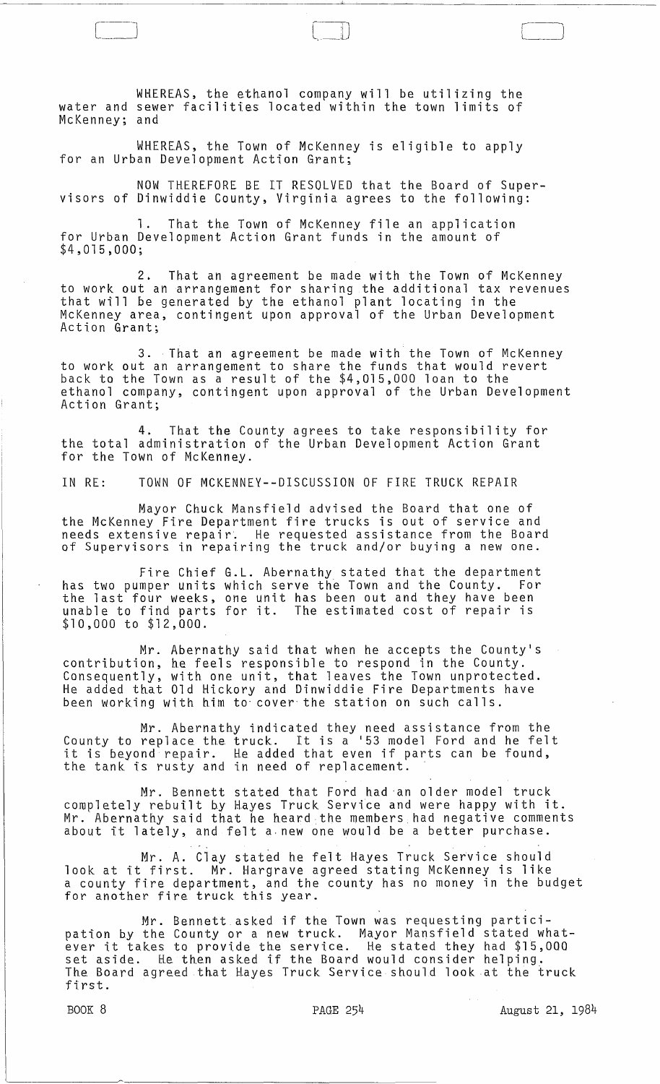WHEREAS, the ethanol company will be utilizing the water and sewer facilities located within the town limits of McKenney; and

WHEREAS, the Town of McKenney is eligible to apply for an Urban Development Action Grant;

NOW THEREFORE BE IT RESOLVED that the Board of Supervisors of Dinwiddie County, Virginia agrees to the following:

That the Town of McKenney file an application for Urban Development Action Grant funds in the amount of \$4,015,000;

2. That an agreement be made with the Town of McKenney to work out an arrangement for sharing the additional tax revenues that will be generated by the ethanol plant locating in the McKenney area, contingent upon approval of the Urban Development Action Grant;

3. That an agreement be made with the Town of McKenney to work out an arrangement to share the funds that would revert back to the Town as a result of the \$4,015,000 loan to the ethanol company, contingent upon approval of the Urban Development Action Grant;

4. That the County agrees to take responsibility for the total administration of the Urban Development Action Grant for the Town of McKenney.

IN RE: TOWN OF MCKENNEY--DISCUSSION OF FIRE TRUCK REPAIR

Mayor Chuck Mansfield advised the Board that one of the McKenney Fire Department fire trucks is out of service and needs extensive repair. He requested assistance from the Board of Supervisors in repairing the truck and/or buying a new one.

Fire Chief G.L. Abernathy stated that the department has two pumper units which serve the Town and the County. For the last four weeks, one unit has been out and they have been unable to find parts for it. The estimated cost of repair is \$10,000 to \$12,000.

Mr. Abernathy said that when he accepts the County's contribution, he feels responsible to respond in the County. Consequently, with one unit, that leaves the Town unprotected. He added that Old Hickory and Dinwiddie Fire Departments have been working with him to' *cover'* the station on such calls.

Mr. Abernathy indicated they need assistance from the County to replace the truck. It is a 153 model Ford and he felt county to replace the truck. It is a 55 model rord and he felt<br>it is beyond repair. He added that even if parts can be found,<br>the tank is rusty and in need of replacement.

Mr. Bennett stated that Ford had 'an older model truck completely rebuilt by Hayes Truck Service and were happy with it. Mr. Abernathy said that he heard the members had negative comments about it lately, and felt a·new one would be a better purchase.

Mr. A. Clay stated he felt Hayes Truck Service should look at it first. Mr. Hargrave agreed stating McKenney is like a county fire department, and the county has no money in the budget<br>for another fire truck this year.

Mr. Bennett asked if the Town was requesting participation by the County or a new truck. Mayor Mansfield stated whatever it takes to provide the service. He stated they had \$15,000 ever it takes to provide the scribed. He stated they had pis, The Board agreed that Hayes Truck Service should look at the truck first.

BOOK 8 PAGE 254 August 21, 1984

r 1 \_\_ -